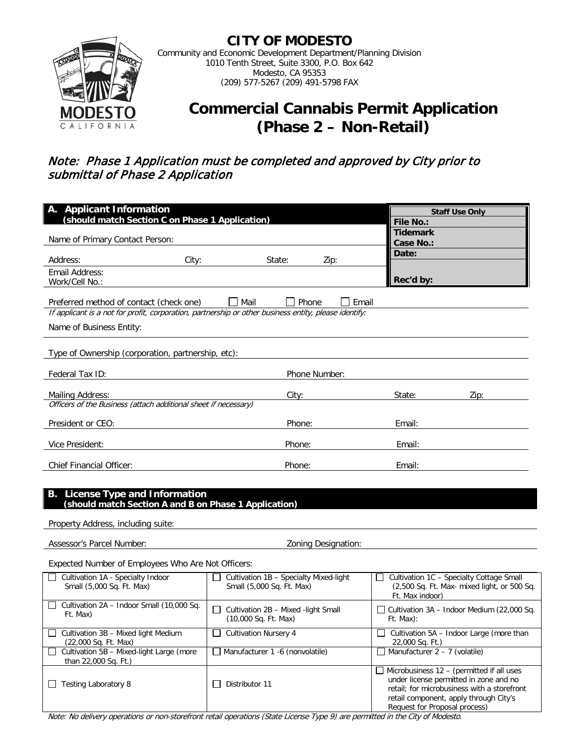

(22,000 Sq. Ft. Max)

than 22,000 Sq. Ft.)

 $\Box$  Cultivation 5B – Mixed-light Large (more

□ Testing Laboratory 8 <br>□ Distributor 11

# **CITY OF MODESTO**

Community and Economic Development Department/Planning Division 1010 Tenth Street, Suite 3300, P.O. Box 642 Modesto, CA 95353 (209) 577-5267 (209) 491-5798 FAX

# **Commercial Cannabis Permit Application (Phase 2 – Non-Retail)**

# Note: Phase 1 Application must be completed and approved by City prior to submittal of Phase 2 Application

| A. Applicant Information<br>(should match Section C on Phase 1 Application)<br>Name of Primary Contact Person:                        |                                                                                                                                   | <b>Staff Use Only</b><br><b>File No.:</b><br><b>Tidemark</b>                                               |
|---------------------------------------------------------------------------------------------------------------------------------------|-----------------------------------------------------------------------------------------------------------------------------------|------------------------------------------------------------------------------------------------------------|
| Address:<br>City:<br>Email Address:                                                                                                   | State:<br>Zip:                                                                                                                    | <b>Case No.:</b><br>Date:<br>Rec'd by:                                                                     |
| Work/Cell No.:<br>Preferred method of contact (check one)<br>Name of Business Entity:                                                 | l Mail<br>Phone<br>Email<br>If applicant is a not for profit, corporation, partnership or other business entity, please identify: |                                                                                                            |
| Type of Ownership (corporation, partnership, etc):                                                                                    |                                                                                                                                   |                                                                                                            |
| Federal Tax ID:                                                                                                                       | Phone Number:                                                                                                                     |                                                                                                            |
| <b>Mailing Address:</b><br>Officers of the Business (attach additional sheet if necessary)                                            | City:                                                                                                                             | State:<br>Zip:                                                                                             |
| President or CEO:                                                                                                                     | Phone:                                                                                                                            | Email:                                                                                                     |
| Vice President:                                                                                                                       | Phone:                                                                                                                            | Email:                                                                                                     |
| <b>Chief Financial Officer:</b>                                                                                                       | Phone:                                                                                                                            | Email:                                                                                                     |
| <b>B.</b> License Type and Information<br>(should match Section A and B on Phase 1 Application)<br>Property Address, including suite: |                                                                                                                                   |                                                                                                            |
| Assessor's Parcel Number:                                                                                                             | Zoning Designation:                                                                                                               |                                                                                                            |
| Expected Number of Employees Who Are Not Officers:                                                                                    |                                                                                                                                   |                                                                                                            |
| Cultivation 1A - Specialty Indoor<br>Small (5,000 Sq. Ft. Max)                                                                        | Cultivation 1B - Specialty Mixed-light<br>$\Box$<br>Small (5,000 Sq. Ft. Max)                                                     | Cultivation 1C - Specialty Cottage Small<br>(2,500 Sq. Ft. Max- mixed light, or 500 Sq.<br>Ft. Max indoor) |
| Cultivation 2A - Indoor Small (10,000 Sq.<br>Ft. Max)                                                                                 | Cultivation 2B - Mixed -light Small<br>$\Box$<br>(10,000 Sq. Ft. Max)                                                             | Cultivation $3A - Indoor Medium (22,000 Sq.$<br>Ft. Max):                                                  |
| Cultivation 3B - Mixed light Medium                                                                                                   | <b>Cultivation Nursery 4</b>                                                                                                      | Cultivation 5A - Indoor Large (more than                                                                   |

22,000 Sq. Ft.)

 $\Box$  Microbusiness 12 – (permitted if all uses under license permitted in zone and no retail; for microbusiness with a storefront retail component, apply through City's

 $\Box$  Manufacturer 1 -6 (nonvolatile)  $\Box$  Manufacturer 2 – 7 (volatile)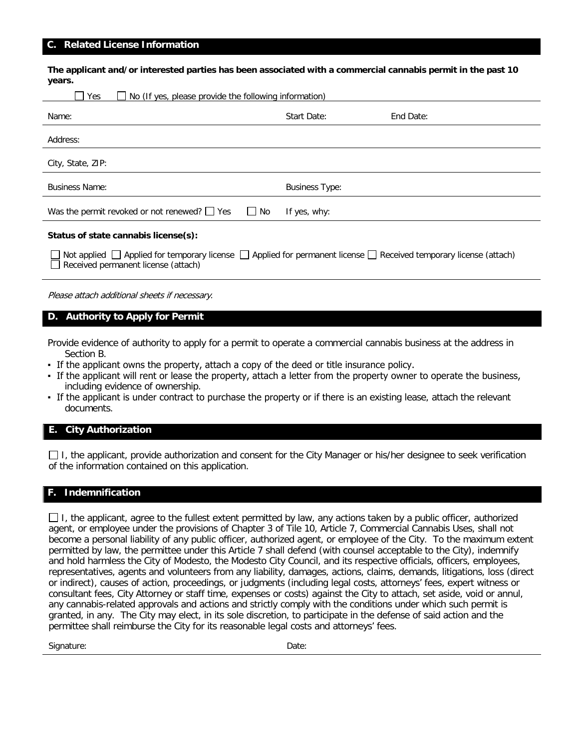### **C. Related License Information**

| years.                                                                                                                                                                  |                       |           |  |  |
|-------------------------------------------------------------------------------------------------------------------------------------------------------------------------|-----------------------|-----------|--|--|
| Yes<br>No (If yes, please provide the following information)                                                                                                            |                       |           |  |  |
|                                                                                                                                                                         |                       |           |  |  |
| Name:                                                                                                                                                                   | Start Date:           | End Date: |  |  |
| Address:                                                                                                                                                                |                       |           |  |  |
| City, State, ZIP:                                                                                                                                                       |                       |           |  |  |
| <b>Business Name:</b>                                                                                                                                                   | <b>Business Type:</b> |           |  |  |
| Was the permit revoked or not renewed? $\Box$ Yes<br>$\Box$ No                                                                                                          | If yes, why:          |           |  |  |
| Status of state cannabis license(s):                                                                                                                                    |                       |           |  |  |
| Not applied $\Box$ Applied for temporary license $\Box$ Applied for permanent license $\Box$ Received temporary license (attach)<br>Received permanent license (attach) |                       |           |  |  |
| Please attach additional sheets if necessary.                                                                                                                           |                       |           |  |  |
| D. Authority to Apply for Permit                                                                                                                                        |                       |           |  |  |

**The applicant and/or interested parties has been associated with a commercial cannabis permit in the past 10** 

#### Provide evidence of authority to apply for a permit to operate a commercial cannabis business at the address in Section B.

- If the applicant owns the property, attach a copy of the deed or title insurance policy.
- If the applicant will rent or lease the property, attach a letter from the property owner to operate the business, including evidence of ownership.
- If the applicant is under contract to purchase the property or if there is an existing lease, attach the relevant documents.

# **E. City Authorization**

 $\Box$  I, the applicant, provide authorization and consent for the City Manager or his/her designee to seek verification of the information contained on this application.

## **F. Indemnification**

 $\Box$  I, the applicant, agree to the fullest extent permitted by law, any actions taken by a public officer, authorized agent, or employee under the provisions of Chapter 3 of Tile 10, Article 7, Commercial Cannabis Uses, shall not become a personal liability of any public officer, authorized agent, or employee of the City. To the maximum extent permitted by law, the permittee under this Article 7 shall defend (with counsel acceptable to the City), indemnify and hold harmless the City of Modesto, the Modesto City Council, and its respective officials, officers, employees, representatives, agents and volunteers from any liability, damages, actions, claims, demands, litigations, loss (direct or indirect), causes of action, proceedings, or judgments (including legal costs, attorneys' fees, expert witness or consultant fees, City Attorney or staff time, expenses or costs) against the City to attach, set aside, void or annul, any cannabis-related approvals and actions and strictly comply with the conditions under which such permit is granted, in any. The City may elect, in its sole discretion, to participate in the defense of said action and the permittee shall reimburse the City for its reasonable legal costs and attorneys' fees.

Signature: Date: